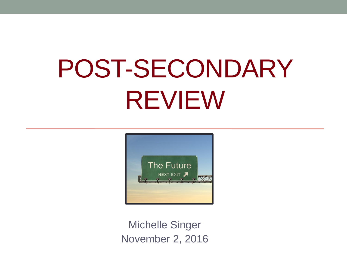# POST-SECONDARY REVIEW



Michelle Singer November 2, 2016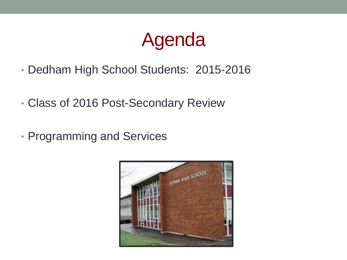## Agenda

- Dedham High School Students: 2015-2016
- Class of 2016 Post-Secondary Review
- Programming and Services

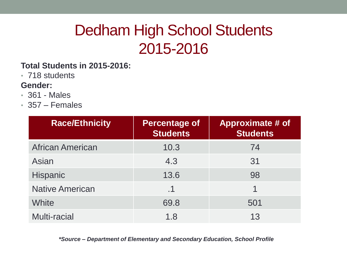## Dedham High School Students 2015-2016

#### **Total Students in 2015-2016:**

• 718 students

#### **Gender:**

- 361 Males
- 357 Females

| <b>Race/Ethnicity</b>   | Percentage of<br><b>Students</b> | <b>Approximate # of</b><br><b>Students</b> |
|-------------------------|----------------------------------|--------------------------------------------|
| <b>African American</b> | 10.3                             | 74                                         |
| Asian                   | 4.3                              | 31                                         |
| <b>Hispanic</b>         | 13.6                             | 98                                         |
| <b>Native American</b>  | .1                               |                                            |
| White                   | 69.8                             | 501                                        |
| <b>Multi-racial</b>     | 1.8                              | 13                                         |

 *\*Source – Department of Elementary and Secondary Education, School Profile*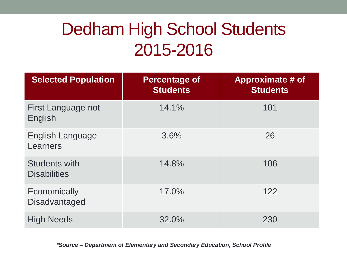## Dedham High School Students 2015-2016

| <b>Selected Population</b>                  | <b>Percentage of</b><br><b>Students</b> | <b>Approximate # of</b><br><b>Students</b> |
|---------------------------------------------|-----------------------------------------|--------------------------------------------|
| First Language not<br>English               | 14.1%                                   | 101                                        |
| English Language<br>Learners                | 3.6%                                    | 26                                         |
| <b>Students with</b><br><b>Disabilities</b> | 14.8%                                   | 106                                        |
| Economically<br><b>Disadvantaged</b>        | 17.0%                                   | 122                                        |
| <b>High Needs</b>                           | 32.0%                                   | 230                                        |

*\*Source – Department of Elementary and Secondary Education, School Profile*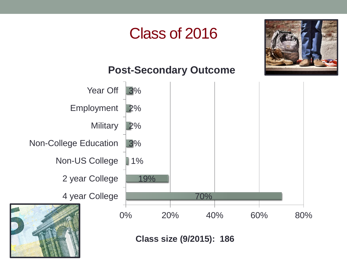## Class of 2016



### **Post-Secondary Outcome**

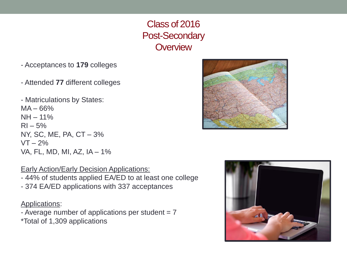### Class of 2016 Post-Secondary **Overview**

- Acceptances to **179** colleges
- Attended **77** different colleges
- Matriculations by States:  $MA - 66%$ NH – 11%  $RI - 5%$ NY, SC, ME, PA, CT – 3%  $VT - 2\%$ VA, FL, MD, MI, AZ, IA – 1%

Early Action/Early Decision Applications:

- 44% of students applied EA/ED to at least one college - 374 EA/ED applications with 337 acceptances

#### Applications:

- Average number of applications per student  $= 7$ \*Total of 1,309 applications



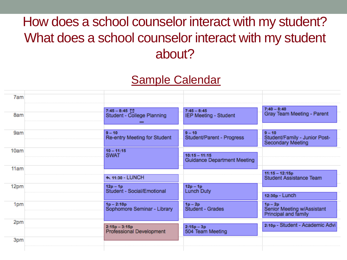## How does a school counselor interact with my student? What does a school counselor interact with my student about?

## Sample Calendar

| 7am  |                                                    |                                                       |                                                                       |
|------|----------------------------------------------------|-------------------------------------------------------|-----------------------------------------------------------------------|
| 8am  | $7:45 - 8:45$<br>Student - College Planning<br>=   | $7:45 - 8:45$<br>IEP Meeting - Student                | $7:40 - 8:40$<br>Gray Team Meeting - Parent                           |
| 9am  | $9 - 10$<br>Re-entry Meeting for Student           | $9 - 10$<br>Student/Parent - Progress                 | $9 - 10$<br>Student/Family - Junior Post-<br><b>Secondary Meeting</b> |
| 10am | $10 - 11:15$<br><b>SWAT</b>                        | $10:15 - 11:15$<br><b>Guidance Department Meeting</b> |                                                                       |
| 11am | ← 11:30 - LUNCH                                    |                                                       | $11:15 - 12:15p$<br><b>Student Assistance Team</b>                    |
| 12pm | $12p - 1p$<br>Student - Social/Emotional           | $12p - 1p$<br>Lunch Duty                              | 12:30p - Lunch                                                        |
| 1pm  | $1p - 2:10p$<br>Sophomore Seminar - Library        | $1p-2p$<br>Student - Grades                           | $1p-2p$<br>Senior Meeting w/Assistant<br>Principal and family         |
| 2pm  | $2:15p - 3:15p$<br><b>Professional Development</b> | $2:15p - 3p$<br>504 Team Meeting                      | 2:10p - Student - Academic Advi                                       |
| 3pm  |                                                    |                                                       |                                                                       |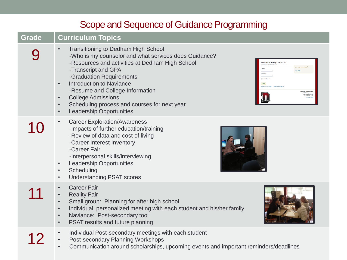### Scope and Sequence of Guidance Programming

### **Grade Curriculum Topics**

| <b>Transitioning to Dedham High School</b><br>-Who is my counselor and what services does Guidance?<br>-Resources and activities at Dedham High School<br>-Transcript and GPA<br>-Graduation Requirements<br><b>Introduction to Naviance</b><br>$\bullet$<br>-Resume and College Information<br><b>College Admissions</b><br>$\bullet$<br>Scheduling process and courses for next year<br>$\bullet$<br><b>Leadership Opportunities</b><br>$\bullet$ |
|-----------------------------------------------------------------------------------------------------------------------------------------------------------------------------------------------------------------------------------------------------------------------------------------------------------------------------------------------------------------------------------------------------------------------------------------------------|
| <b>Career Exploration/Awareness</b><br>-Impacts of further education/training<br>-Review of data and cost of living<br>-Career Interest Inventory<br>-Career Fair<br>-Interpersonal skills/interviewing<br><b>Leadership Opportunities</b><br>$\bullet$<br>Scheduling<br>$\bullet$<br><b>Understanding PSAT scores</b><br>$\bullet$                                                                                                                 |
| <b>Career Fair</b><br>$\bullet$<br><b>Reality Fair</b><br>Small group: Planning for after high school<br>$\bullet$<br>Individual, personalized meeting with each student and his/her family<br>$\bullet$<br>Naviance: Post-secondary tool<br>$\bullet$<br>PSAT results and future planning<br>$\bullet$                                                                                                                                             |
| Individual Post-secondary meetings with each student<br>Post-secondary Planning Workshops<br>Communication around scholarships uncoming events and important reminders                                                                                                                                                                                                                                                                              |

• Communication around scholarships, upcoming events and important reminders/deadlines



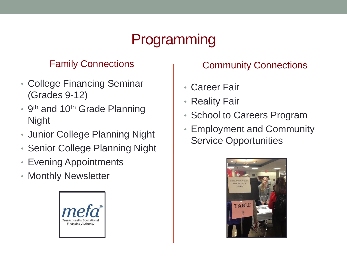## Programming

### Family Connections

- College Financing Seminar (Grades 9-12)
- 9<sup>th</sup> and 10<sup>th</sup> Grade Planning Night
- Junior College Planning Night
- Senior College Planning Night
- Evening Appointments
- Monthly Newsletter



### Community Connections

- Career Fair
- Reality Fair
- School to Careers Program
- Employment and Community Service Opportunities